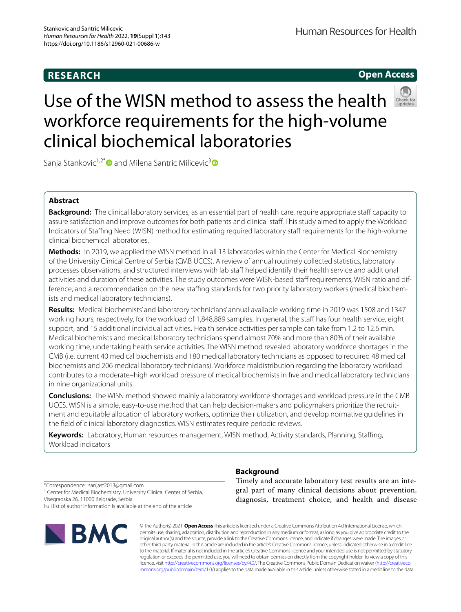# **RESEARCH**

# **Open Access**



# Use of the WISN method to assess the health workforce requirements for the high-volume clinical biochemical laboratories

Sanja Stankovic<sup>1,2[\\*](http://orcid.org/0000-0003-0890-535X)</sup> and Milena Santric Milicevic<sup>[3](http://orcid.org/0000-0002-0684-359X)</sup> and

# **Abstract**

**Background:** The clinical laboratory services, as an essential part of health care, require appropriate staff capacity to assure satisfaction and improve outcomes for both patients and clinical staf. This study aimed to apply the Workload Indicators of Staffing Need (WISN) method for estimating required laboratory staff requirements for the high-volume clinical biochemical laboratories.

**Methods:** In 2019, we applied the WISN method in all 13 laboratories within the Center for Medical Biochemistry of the University Clinical Centre of Serbia (CMB UCCS). A review of annual routinely collected statistics, laboratory processes observations, and structured interviews with lab staff helped identify their health service and additional activities and duration of these activities. The study outcomes were WISN-based staff requirements, WISN ratio and difference, and a recommendation on the new staffing standards for two priority laboratory workers (medical biochemists and medical laboratory technicians).

**Results:** Medical biochemists' and laboratory technicians' annual available working time in 2019 was 1508 and 1347 working hours, respectively, for the workload of 1,848,889 samples. In general, the staff has four health service, eight support, and 15 additional individual activities*.* Health service activities per sample can take from 1.2 to 12.6 min. Medical biochemists and medical laboratory technicians spend almost 70% and more than 80% of their available working time, undertaking health service activities. The WISN method revealed laboratory workforce shortages in the CMB (i.e. current 40 medical biochemists and 180 medical laboratory technicians as opposed to required 48 medical biochemists and 206 medical laboratory technicians). Workforce maldistribution regarding the laboratory workload contributes to a moderate–high workload pressure of medical biochemists in fve and medical laboratory technicians in nine organizational units.

**Conclusions:** The WISN method showed mainly a laboratory workforce shortages and workload pressure in the CMB UCCS. WISN is a simple, easy-to-use method that can help decision-makers and policymakers prioritize the recruitment and equitable allocation of laboratory workers, optimize their utilization, and develop normative guidelines in the feld of clinical laboratory diagnostics. WISN estimates require periodic reviews.

Keywords: Laboratory, Human resources management, WISN method, Activity standards, Planning, Staffing, Workload indicators

\*Correspondence: sanjast2013@gmail.com

<sup>1</sup> Center for Medical Biochemistry, University Clinical Center of Serbia, Visegradska 26, 11000 Belgrade, Serbia

Full list of author information is available at the end of the article



# **Background**

Timely and accurate laboratory test results are an integral part of many clinical decisions about prevention, diagnosis, treatment choice, and health and disease

© The Author(s) 2021. **Open Access** This article is licensed under a Creative Commons Attribution 4.0 International License, which permits use, sharing, adaptation, distribution and reproduction in any medium or format, as long as you give appropriate credit to the original author(s) and the source, provide a link to the Creative Commons licence, and indicate if changes were made. The images or other third party material in this article are included in the article's Creative Commons licence, unless indicated otherwise in a credit line to the material. If material is not included in the article's Creative Commons licence and your intended use is not permitted by statutory regulation or exceeds the permitted use, you will need to obtain permission directly from the copyright holder. To view a copy of this licence, visit [http://creativecommons.org/licenses/by/4.0/.](http://creativecommons.org/licenses/by/4.0/) The Creative Commons Public Domain Dedication waiver ([http://creativeco](http://creativecommons.org/publicdomain/zero/1.0/) [mmons.org/publicdomain/zero/1.0/](http://creativecommons.org/publicdomain/zero/1.0/)) applies to the data made available in this article, unless otherwise stated in a credit line to the data.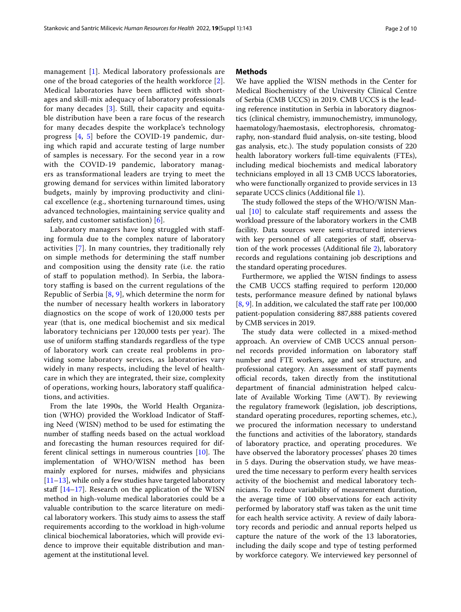management [\[1](#page-8-0)]. Medical laboratory professionals are one of the broad categories of the health workforce [[2\]](#page-8-1). Medical laboratories have been afflicted with shortages and skill-mix adequacy of laboratory professionals for many decades [[3\]](#page-8-2). Still, their capacity and equitable distribution have been a rare focus of the research for many decades despite the workplace's technology progress [\[4](#page-8-3), [5](#page-8-4)] before the COVID-19 pandemic, during which rapid and accurate testing of large number of samples is necessary. For the second year in a row with the COVID-19 pandemic, laboratory managers as transformational leaders are trying to meet the growing demand for services within limited laboratory budgets, mainly by improving productivity and clinical excellence (e.g., shortening turnaround times, using advanced technologies, maintaining service quality and safety, and customer satisfaction) [\[6](#page-8-5)].

Laboratory managers have long struggled with stafing formula due to the complex nature of laboratory activities [[7\]](#page-8-6). In many countries, they traditionally rely on simple methods for determining the staf number and composition using the density rate (i.e. the ratio of staf to population method). In Serbia, the laboratory stafng is based on the current regulations of the Republic of Serbia  $[8, 9]$  $[8, 9]$  $[8, 9]$  $[8, 9]$ , which determine the norm for the number of necessary health workers in laboratory diagnostics on the scope of work of 120,000 tests per year (that is, one medical biochemist and six medical laboratory technicians per 120,000 tests per year). The use of uniform staffing standards regardless of the type of laboratory work can create real problems in providing some laboratory services, as laboratories vary widely in many respects, including the level of healthcare in which they are integrated, their size, complexity of operations, working hours, laboratory staf qualifcations, and activities.

From the late 1990s, the World Health Organization (WHO) provided the Workload Indicator of Stafing Need (WISN) method to be used for estimating the number of staffing needs based on the actual workload and forecasting the human resources required for different clinical settings in numerous countries  $[10]$  $[10]$ . The implementation of WHO/WISN method has been mainly explored for nurses, midwifes and physicians [[11–](#page-8-10)[13](#page-8-11)], while only a few studies have targeted laboratory staff  $[14–17]$  $[14–17]$  $[14–17]$  $[14–17]$ . Research on the application of the WISN method in high-volume medical laboratories could be a valuable contribution to the scarce literature on medical laboratory workers. This study aims to assess the staff requirements according to the workload in high-volume clinical biochemical laboratories, which will provide evidence to improve their equitable distribution and management at the institutional level.

## **Methods**

We have applied the WISN methods in the Center for Medical Biochemistry of the University Clinical Centre of Serbia (CMB UCCS) in 2019. CMB UCCS is the leading reference institution in Serbia in laboratory diagnostics (clinical chemistry, immunochemistry, immunology, haematology/haemostasis, electrophoresis, chromatography, non-standard fuid analysis, on-site testing, blood gas analysis, etc.). The study population consists of 220 health laboratory workers full-time equivalents (FTEs), including medical biochemists and medical laboratory technicians employed in all 13 CMB UCCS laboratories, who were functionally organized to provide services in 13 separate UCCS clinics (Additional file [1](#page-8-14)).

The study followed the steps of the WHO/WISN Manual  $[10]$  $[10]$  to calculate staff requirements and assess the workload pressure of the laboratory workers in the CMB facility. Data sources were semi-structured interviews with key personnel of all categories of staff, observation of the work processes (Additional fle [2\)](#page-8-15), laboratory records and regulations containing job descriptions and the standard operating procedures.

Furthermore, we applied the WISN fndings to assess the CMB UCCS staffing required to perform 120,000 tests, performance measure defned by national bylaws  $[8, 9]$  $[8, 9]$  $[8, 9]$  $[8, 9]$ . In addition, we calculated the staff rate per 100,000 patient-population considering 887,888 patients covered by CMB services in 2019.

The study data were collected in a mixed-method approach. An overview of CMB UCCS annual personnel records provided information on laboratory staf number and FTE workers, age and sex structure, and professional category. An assessment of staff payments official records, taken directly from the institutional department of fnancial administration helped calculate of Available Working Time (AWT). By reviewing the regulatory framework (legislation, job descriptions, standard operating procedures, reporting schemes, etc.), we procured the information necessary to understand the functions and activities of the laboratory, standards of laboratory practice, and operating procedures. We have observed the laboratory processes' phases 20 times in 5 days. During the observation study, we have measured the time necessary to perform every health services activity of the biochemist and medical laboratory technicians. To reduce variability of measurement duration, the average time of 100 observations for each activity performed by laboratory staff was taken as the unit time for each health service activity. A review of daily laboratory records and periodic and annual reports helped us capture the nature of the work of the 13 laboratories, including the daily scope and type of testing performed by workforce category. We interviewed key personnel of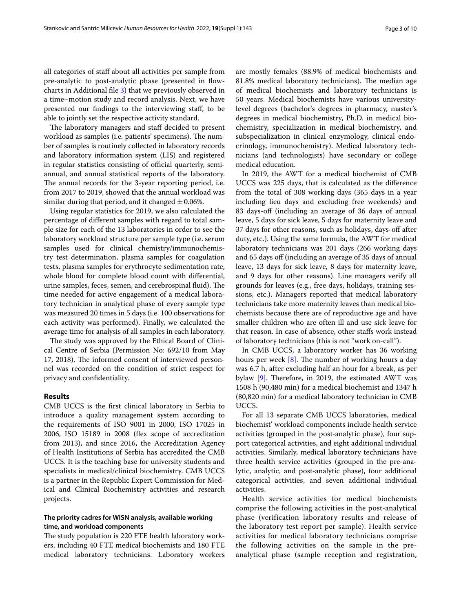all categories of staf about all activities per sample from pre-analytic to post-analytic phase (presented in fowcharts in Additional fle [3](#page-8-16)) that we previously observed in a time–motion study and record analysis. Next, we have presented our fndings to the interviewing staf, to be able to jointly set the respective activity standard.

The laboratory managers and staff decided to present workload as samples (i.e. patients' specimens). The number of samples is routinely collected in laboratory records and laboratory information system (LIS) and registered in regular statistics consisting of official quarterly, semiannual, and annual statistical reports of the laboratory. The annual records for the 3-year reporting period, i.e. from 2017 to 2019, showed that the annual workload was similar during that period, and it changed  $\pm$  0.06%.

Using regular statistics for 2019, we also calculated the percentage of diferent samples with regard to total sample size for each of the 13 laboratories in order to see the laboratory workload structure per sample type (i.e. serum samples used for clinical chemistry/immunochemistry test determination, plasma samples for coagulation tests, plasma samples for erythrocyte sedimentation rate, whole blood for complete blood count with diferential, urine samples, feces, semen, and cerebrospinal fluid). The time needed for active engagement of a medical laboratory technician in analytical phase of every sample type was measured 20 times in 5 days (i.e. 100 observations for each activity was performed). Finally, we calculated the average time for analysis of all samples in each laboratory.

The study was approved by the Ethical Board of Clinical Centre of Serbia (Permission No: 692/10 from May 17, 2018). The informed consent of interviewed personnel was recorded on the condition of strict respect for privacy and confdentiality.

# **Results**

CMB UCCS is the frst clinical laboratory in Serbia to introduce a quality management system according to the requirements of ISO 9001 in 2000, ISO 17025 in 2006, ISO 15189 in 2008 (fex scope of accreditation from 2013), and since 2016, the Accreditation Agency of Health Institutions of Serbia has accredited the CMB UCCS. It is the teaching base for university students and specialists in medical/clinical biochemistry. CMB UCCS is a partner in the Republic Expert Commission for Medical and Clinical Biochemistry activities and research projects.

# **The priority cadres for WISN analysis, available working time, and workload components**

The study population is 220 FTE health laboratory workers, including 40 FTE medical biochemists and 180 FTE medical laboratory technicians. Laboratory workers are mostly females (88.9% of medical biochemists and 81.8% medical laboratory technicians). The median age of medical biochemists and laboratory technicians is 50 years. Medical biochemists have various universitylevel degrees (bachelor's degrees in pharmacy, master's degrees in medical biochemistry, Ph.D. in medical biochemistry, specialization in medical biochemistry, and subspecialization in clinical enzymology, clinical endocrinology, immunochemistry). Medical laboratory technicians (and technologists) have secondary or college medical education.

In 2019, the AWT for a medical biochemist of CMB UCCS was 225 days, that is calculated as the diference from the total of 308 working days (365 days in a year including lieu days and excluding free weekends) and 83 days-off (including an average of 36 days of annual leave, 5 days for sick leave, 5 days for maternity leave and 37 days for other reasons, such as holidays, days-of after duty, etc.). Using the same formula, the AWT for medical laboratory technicians was 201 days (266 working days and 65 days off (including an average of 35 days of annual leave, 13 days for sick leave, 8 days for maternity leave, and 9 days for other reasons). Line managers verify all grounds for leaves (e.g., free days, holidays, training sessions, etc.). Managers reported that medical laboratory technicians take more maternity leaves than medical biochemists because there are of reproductive age and have smaller children who are often ill and use sick leave for that reason. In case of absence, other stafs work instead of laboratory technicians (this is not "work on-call").

In CMB UCCS, a laboratory worker has 36 working hours per week  $[8]$ . The number of working hours a day was 6.7 h, after excluding half an hour for a break, as per bylaw  $[9]$  $[9]$ . Therefore, in 2019, the estimated AWT was 1508 h (90,480 min) for a medical biochemist and 1347 h (80,820 min) for a medical laboratory technician in CMB UCCS.

For all 13 separate CMB UCCS laboratories, medical biochemist' workload components include health service activities (grouped in the post-analytic phase), four support categorical activities, and eight additional individual activities. Similarly, medical laboratory technicians have three health service activities (grouped in the pre-analytic, analytic, and post-analytic phase), four additional categorical activities, and seven additional individual activities.

Health service activities for medical biochemists comprise the following activities in the post-analytical phase (verification laboratory results and release of the laboratory test report per sample). Health service activities for medical laboratory technicians comprise the following activities on the sample in the preanalytical phase (sample reception and registration,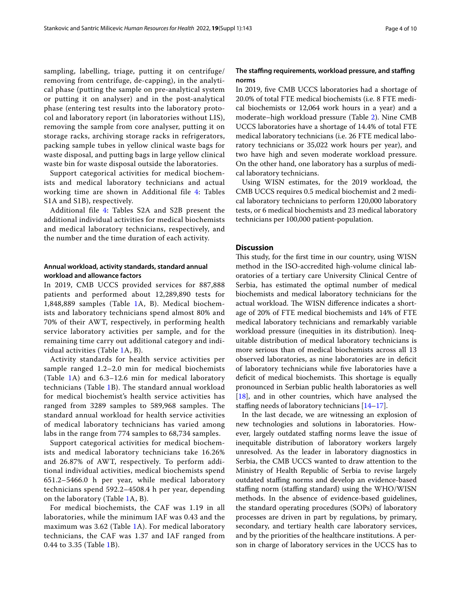sampling, labelling, triage, putting it on centrifuge/ removing from centrifuge, de-capping), in the analytical phase (putting the sample on pre-analytical system or putting it on analyser) and in the post-analytical phase (entering test results into the laboratory protocol and laboratory report (in laboratories without LIS), removing the sample from core analyser, putting it on storage racks, archiving storage racks in refrigerators, packing sample tubes in yellow clinical waste bags for waste disposal, and putting bags in large yellow clinical waste bin for waste disposal outside the laboratories.

Support categorical activities for medical biochemists and medical laboratory technicians and actual working time are shown in Additional file [4:](#page-8-17) Tables S1A and S1B), respectively.

Additional file [4](#page-8-17): Tables S2A and S2B present the additional individual activities for medical biochemists and medical laboratory technicians, respectively, and the number and the time duration of each activity.

# **Annual workload, activity standards, standard annual workload and allowance factors**

In 2019, CMB UCCS provided services for 887,888 patients and performed about 12,289,890 tests for 1,848,889 samples (Table [1](#page-4-0)A, B). Medical biochemists and laboratory technicians spend almost 80% and 70% of their AWT, respectively, in performing health service laboratory activities per sample, and for the remaining time carry out additional category and individual activities (Table [1](#page-4-0)A, B).

Activity standards for health service activities per sample ranged 1.2–2.0 min for medical biochemists (Table [1](#page-4-0)A) and 6.3–12.6 min for medical laboratory technicians (Table [1](#page-4-0)B). The standard annual workload for medical biochemist's health service activities has ranged from 3289 samples to 589,968 samples. The standard annual workload for health service activities of medical laboratory technicians has varied among labs in the range from 774 samples to 68,734 samples.

Support categorical activities for medical biochemists and medical laboratory technicians take 16.26% and 26.87% of AWT, respectively. To perform additional individual activities, medical biochemists spend 651.2–5466.0 h per year, while medical laboratory technicians spend 592.2–4508.4 h per year, depending on the laboratory (Table [1A](#page-4-0), B).

For medical biochemists, the CAF was 1.19 in all laboratories, while the minimum IAF was 0.43 and the maximum was 3.62 (Table [1A](#page-4-0)). For medical laboratory technicians, the CAF was 1.37 and IAF ranged from 0.44 to 3.35 (Table [1B](#page-4-0)).

## **The stafng requirements, workload pressure, and stafng norms**

In 2019, fve CMB UCCS laboratories had a shortage of 20.0% of total FTE medical biochemists (i.e. 8 FTE medical biochemists or 12,064 work hours in a year) and a moderate–high workload pressure (Table [2\)](#page-5-0). Nine CMB UCCS laboratories have a shortage of 14.4% of total FTE medical laboratory technicians (i.e. 26 FTE medical laboratory technicians or 35,022 work hours per year), and two have high and seven moderate workload pressure. On the other hand, one laboratory has a surplus of medical laboratory technicians.

Using WISN estimates, for the 2019 workload, the CMB UCCS requires 0.5 medical biochemist and 2 medical laboratory technicians to perform 120,000 laboratory tests, or 6 medical biochemists and 23 medical laboratory technicians per 100,000 patient-population.

# **Discussion**

This study, for the first time in our country, using WISN method in the ISO-accredited high-volume clinical laboratories of a tertiary care University Clinical Centre of Serbia, has estimated the optimal number of medical biochemists and medical laboratory technicians for the actual workload. The WISN difference indicates a shortage of 20% of FTE medical biochemists and 14% of FTE medical laboratory technicians and remarkably variable workload pressure (inequities in its distribution). Inequitable distribution of medical laboratory technicians is more serious than of medical biochemists across all 13 observed laboratories, as nine laboratories are in defcit of laboratory technicians while fve laboratories have a deficit of medical biochemists. This shortage is equally pronounced in Serbian public health laboratories as well [[18\]](#page-9-0), and in other countries, which have analysed the staffing needs of laboratory technicians  $[14–17]$  $[14–17]$ .

In the last decade, we are witnessing an explosion of new technologies and solutions in laboratories. However, largely outdated staffing norms leave the issue of inequitable distribution of laboratory workers largely unresolved. As the leader in laboratory diagnostics in Serbia, the CMB UCCS wanted to draw attention to the Ministry of Health Republic of Serbia to revise largely outdated stafng norms and develop an evidence-based staffing norm (staffing standard) using the WHO/WISN methods. In the absence of evidence-based guidelines, the standard operating procedures (SOPs) of laboratory processes are driven in part by regulations, by primary, secondary, and tertiary health care laboratory services, and by the priorities of the healthcare institutions. A person in charge of laboratory services in the UCCS has to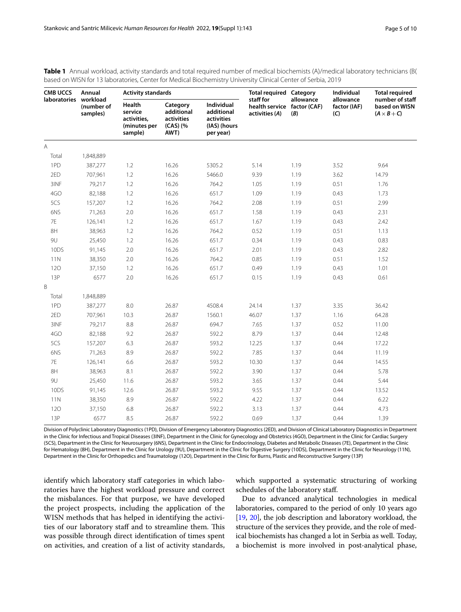| <b>CMB UCCS</b>       | Annual                 | <b>Activity standards</b>                                   |                                                          |                                                                            | <b>Total required Category</b>                             |                  | Individual                       | <b>Total required</b>                                  |
|-----------------------|------------------------|-------------------------------------------------------------|----------------------------------------------------------|----------------------------------------------------------------------------|------------------------------------------------------------|------------------|----------------------------------|--------------------------------------------------------|
| laboratories workload | (number of<br>samples) | Health<br>service<br>activities,<br>(minutes per<br>sample) | Category<br>additional<br>activities<br>(CAS) (%<br>AWT) | <b>Individual</b><br>additional<br>activities<br>(IAS) (hours<br>per year) | staff for<br>health service factor (CAF)<br>activities (A) | allowance<br>(B) | allowance<br>factor (IAF)<br>(C) | number of staff<br>based on WISN<br>$(A \times B + C)$ |
| $\overline{A}$        |                        |                                                             |                                                          |                                                                            |                                                            |                  |                                  |                                                        |
| Total                 | 1,848,889              |                                                             |                                                          |                                                                            |                                                            |                  |                                  |                                                        |
| 1PD                   | 387,277                | 1.2                                                         | 16.26                                                    | 5305.2                                                                     | 5.14                                                       | 1.19             | 3.52                             | 9.64                                                   |
| 2ED                   | 707,961                | 1.2                                                         | 16.26                                                    | 5466.0                                                                     | 9.39                                                       | 1.19             | 3.62                             | 14.79                                                  |
| 3INF                  | 79,217                 | $1.2\,$                                                     | 16.26                                                    | 764.2                                                                      | 1.05                                                       | 1.19             | 0.51                             | 1.76                                                   |
| 4GO                   | 82,188                 | 1.2                                                         | 16.26                                                    | 651.7                                                                      | 1.09                                                       | 1.19             | 0.43                             | 1.73                                                   |
| 5CS                   | 157,207                | 1.2                                                         | 16.26                                                    | 764.2                                                                      | 2.08                                                       | 1.19             | 0.51                             | 2.99                                                   |
| 6NS                   | 71,263                 | 2.0                                                         | 16.26                                                    | 651.7                                                                      | 1.58                                                       | 1.19             | 0.43                             | 2.31                                                   |
| $7\mathsf{E}$         | 126,141                | 1.2                                                         | 16.26                                                    | 651.7                                                                      | 1.67                                                       | 1.19             | 0.43                             | 2.42                                                   |
| 8H                    | 38,963                 | 1.2                                                         | 16.26                                                    | 764.2                                                                      | 0.52                                                       | 1.19             | 0.51                             | 1.13                                                   |
| 9U                    | 25,450                 | $1.2\,$                                                     | 16.26                                                    | 651.7                                                                      | 0.34                                                       | 1.19             | 0.43                             | 0.83                                                   |
| 10DS                  | 91,145                 | 2.0                                                         | 16.26                                                    | 651.7                                                                      | 2.01                                                       | 1.19             | 0.43                             | 2.82                                                   |
| 11N                   | 38,350                 | 2.0                                                         | 16.26                                                    | 764.2                                                                      | 0.85                                                       | 1.19             | 0.51                             | 1.52                                                   |
| 120                   | 37,150                 | 1.2                                                         | 16.26                                                    | 651.7                                                                      | 0.49                                                       | 1.19             | 0.43                             | 1.01                                                   |
| 13P                   | 6577                   | 2.0                                                         | 16.26                                                    | 651.7                                                                      | 0.15                                                       | 1.19             | 0.43                             | 0.61                                                   |
| B                     |                        |                                                             |                                                          |                                                                            |                                                            |                  |                                  |                                                        |
| Total                 | 1,848,889              |                                                             |                                                          |                                                                            |                                                            |                  |                                  |                                                        |
| 1PD                   | 387,277                | 8.0                                                         | 26.87                                                    | 4508.4                                                                     | 24.14                                                      | 1.37             | 3.35                             | 36.42                                                  |
| 2ED                   | 707,961                | 10.3                                                        | 26.87                                                    | 1560.1                                                                     | 46.07                                                      | 1.37             | 1.16                             | 64.28                                                  |
| 3INF                  | 79,217                 | 8.8                                                         | 26.87                                                    | 694.7                                                                      | 7.65                                                       | 1.37             | 0.52                             | 11.00                                                  |
| 4GO                   | 82,188                 | 9.2                                                         | 26.87                                                    | 592.2                                                                      | 8.79                                                       | 1.37             | 0.44                             | 12.48                                                  |
| 5CS                   | 157,207                | 6.3                                                         | 26.87                                                    | 593.2                                                                      | 12.25                                                      | 1.37             | 0.44                             | 17.22                                                  |
| 6NS                   | 71,263                 | 8.9                                                         | 26.87                                                    | 592.2                                                                      | 7.85                                                       | 1.37             | 0.44                             | 11.19                                                  |
| 7E                    | 126,141                | 6.6                                                         | 26.87                                                    | 593.2                                                                      | 10.30                                                      | 1.37             | 0.44                             | 14.55                                                  |
| 8H                    | 38,963                 | 8.1                                                         | 26.87                                                    | 592.2                                                                      | 3.90                                                       | 1.37             | 0.44                             | 5.78                                                   |
| 9U                    | 25,450                 | 11.6                                                        | 26.87                                                    | 593.2                                                                      | 3.65                                                       | 1.37             | 0.44                             | 5.44                                                   |
| 10DS                  | 91,145                 | 12.6                                                        | 26.87                                                    | 593.2                                                                      | 9.55                                                       | 1.37             | 0.44                             | 13.52                                                  |
| 11N                   | 38,350                 | 8.9                                                         | 26.87                                                    | 592.2                                                                      | 4.22                                                       | 1.37             | 0.44                             | 6.22                                                   |
| 120                   | 37,150                 | 6.8                                                         | 26.87                                                    | 592.2                                                                      | 3.13                                                       | 1.37             | 0.44                             | 4.73                                                   |
| 13P                   | 6577                   | 8.5                                                         | 26.87                                                    | 592.2                                                                      | 0.69                                                       | 1.37             | 0.44                             | 1.39                                                   |

<span id="page-4-0"></span>**Table 1** Annual workload, activity standards and total required number of medical biochemists (A)/medical laboratory technicians (B( based on WISN for 13 laboratories, Center for Medical Biochemistry University Clinical Center of Serbia, 2019

Division of Polyclinic Laboratory Diagnostics (1PD), Division of Emergency Laboratory Diagnostics (2ED), and Division of Clinical Laboratory Diagnostics in Department in the Clinic for Infectious and Tropical Diseases (3INF), Department in the Clinic for Gynecology and Obstetrics (4GO), Department in the Clinic for Cardiac Surgery (5CS), Department in the Clinic for Neurosurgery (6NS), Department in the Clinic for Endocrinology, Diabetes and Metabolic Diseases (7E), Department in the Clinic for Hematology (8H), Department in the Clinic for Urology (9U), Department in the Clinic for Digestive Surgery (10DS), Department in the Clinic for Neurology (11N), Department in the Clinic for Orthopedics and Traumatology (12O), Department in the Clinic for Burns, Plastic and Reconstructive Surgery (13P)

identify which laboratory staff categories in which laboratories have the highest workload pressure and correct the misbalances. For that purpose, we have developed the project prospects, including the application of the WISN methods that has helped in identifying the activities of our laboratory staff and to streamline them. This was possible through direct identifcation of times spent on activities, and creation of a list of activity standards, which supported a systematic structuring of working schedules of the laboratory staf.

Due to advanced analytical technologies in medical laboratories, compared to the period of only 10 years ago [[19](#page-9-1), [20](#page-9-2)], the job description and laboratory workload, the structure of the services they provide, and the role of medical biochemists has changed a lot in Serbia as well. Today, a biochemist is more involved in post-analytical phase,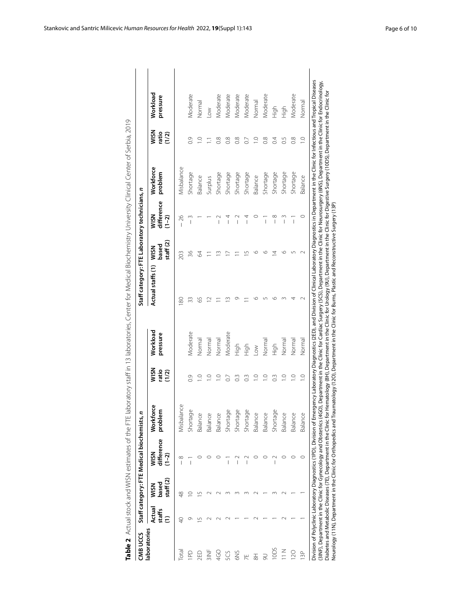<span id="page-5-0"></span>

| ١                                               |
|-------------------------------------------------|
| Į                                               |
|                                                 |
| うりこり                                            |
| l                                               |
| į<br>$\overline{\phantom{a}}$                   |
| $\ddotsc$<br>;<br>;<br>j<br>$\ddot{\cdot}$<br>l |
| $\overline{a}$                                  |
| I<br>۱                                          |
| )<br>)<br>)<br>)                                |
| 5)                                              |
|                                                 |
|                                                 |
| ニソニリノ ゔリミ<br>١<br>l                             |
| $\mathbf{r}$<br>I<br>3<br>י<br>י                |
| j<br>$\overline{ }$<br>$\frac{1}{2}$            |
|                                                 |
| j<br>Ì<br>į<br>$\overline{)}$<br>I              |
| )<br>)<br>)                                     |
| $\frac{1}{2}$<br>$\frac{1}{1}$<br> <br>         |
| $\frac{1}{2}$<br>I                              |
| mates G.                                        |
|                                                 |
| I                                               |
|                                                 |
| ׇ֚֬֘                                            |
| ١                                               |
| ı<br>י<br>נ                                     |

| CMB UCCS             |                                   |                                    | Staff category: FTE Medical biochemists, |                        |                        |                      | Staff category: FTE Laboratory technicians, n |                                    |                                |                      |                       |                      |
|----------------------|-----------------------------------|------------------------------------|------------------------------------------|------------------------|------------------------|----------------------|-----------------------------------------------|------------------------------------|--------------------------------|----------------------|-----------------------|----------------------|
| laboratories         | Actual<br>staffs<br>$\widehat{E}$ | staff $(2)$<br>based<br><b>MSM</b> | difference<br><b>MSN</b><br>$(1 - 2)$    | Workforce<br>problem   | WISN<br>ratio<br>(1/2) | Workload<br>pressure | Actual staffs (1)                             | staff $(2)$<br>based<br><b>MSM</b> | difference<br>WSN<br>$(1 - 2)$ | Workforce<br>problem | WSN<br>ratio<br>(1/2) | Workload<br>pressure |
| <u>Tal</u>           | Ş                                 | ₩                                  | $\infty$                                 | Misbalance             |                        |                      | 80                                            | 203                                | 26<br>$\overline{1}$           | Misbalance           |                       |                      |
| PD                   | Ō                                 |                                    | $\overline{\phantom{a}}$                 | Shortage               | 0.9                    | Moderate             | 33                                            | 36                                 | $\overline{\phantom{a}}$       | Shortage             | $\overline{0}$        | Moderate             |
| 2ED                  | S                                 |                                    |                                          | Balance                | $\supseteq$            | Normal               | 59                                            | 34                                 |                                | Balance              | $\supseteq$           | Normal               |
|                      |                                   |                                    |                                          | Balance                | $\supseteq$            | Normal               |                                               |                                    |                                | Surplus              |                       | $\leq$               |
| Q<br>Q               |                                   |                                    |                                          | Balance                | $\supseteq$            | Normal               |                                               |                                    | $\overline{1}$                 | Shortage             | $\frac{8}{2}$         | Moderate             |
| 5CS                  |                                   |                                    | $\overline{1}$                           | $\mathbb Q$<br>Shortag | $\overline{0}$         | Moderate             |                                               |                                    | $\overline{1}$                 | Shortage             | $\frac{8}{2}$         | Moderate             |
| 6NS                  |                                   |                                    |                                          | Φ<br>Shortag           |                        | High                 |                                               |                                    | $\overline{1}$                 | Shortage             | $\frac{8}{2}$         | Moderate             |
|                      |                                   |                                    |                                          | Φ<br>Shortag           |                        | High                 |                                               |                                    | $\frac{4}{1}$                  | Shortage             | $\overline{C}$        | Moderate             |
| $\overline{8}$       |                                   |                                    |                                          | Balance                | $\supseteq$            | $\geq$               |                                               |                                    |                                | Balance              | $\supseteq$           | Normal               |
|                      |                                   |                                    |                                          | Balance                |                        | Normal               |                                               |                                    | $\overline{\phantom{a}}$       | Shortage             | $\frac{8}{2}$         | Moderate             |
|                      |                                   |                                    | Ī                                        | U<br>Shortage          |                        | High                 |                                               |                                    | $\infty$<br>Ī                  | Shortage             | $\overline{0}$        | High                 |
| $\frac{z}{11}$       |                                   |                                    |                                          | Balance                |                        | Normal               |                                               |                                    |                                | Shortage             | $\overline{0}$ .5     | High                 |
| $\overline{20}$      |                                   |                                    |                                          | Balance                | $\supseteq$            | Normal               |                                               |                                    | $\overline{1}$                 | Shortage             | $\frac{8}{2}$         | Moderate             |
| $\frac{p}{\sqrt{2}}$ |                                   |                                    |                                          | Balance                | $\supseteq$            | Normal               |                                               |                                    |                                | Balance              | $\frac{1}{2}$         | Normal               |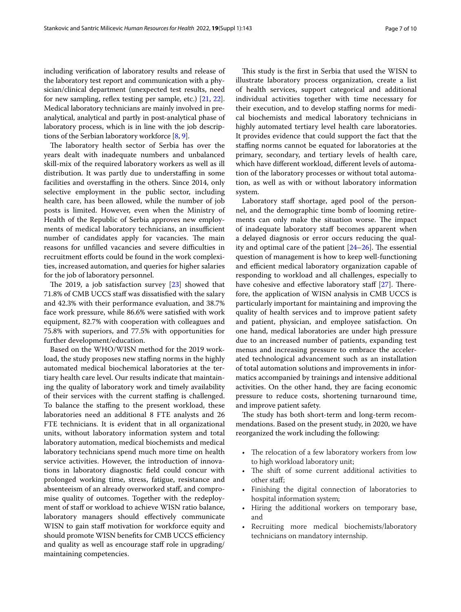including verifcation of laboratory results and release of the laboratory test report and communication with a physician/clinical department (unexpected test results, need for new sampling, reflex testing per sample, etc.) [[21](#page-9-3), [22](#page-9-4)]. Medical laboratory technicians are mainly involved in preanalytical, analytical and partly in post-analytical phase of laboratory process, which is in line with the job descriptions of the Serbian laboratory workforce [[8,](#page-8-7) [9\]](#page-8-8).

The laboratory health sector of Serbia has over the years dealt with inadequate numbers and unbalanced skill-mix of the required laboratory workers as well as ill distribution. It was partly due to understaffing in some facilities and overstaffing in the others. Since 2014, only selective employment in the public sector, including health care, has been allowed, while the number of job posts is limited. However, even when the Ministry of Health of the Republic of Serbia approves new employments of medical laboratory technicians, an insufficient number of candidates apply for vacancies. The main reasons for unfilled vacancies and severe difficulties in recruitment efforts could be found in the work complexities, increased automation, and queries for higher salaries for the job of laboratory personnel.

The 2019, a job satisfaction survey  $[23]$  $[23]$  $[23]$  showed that 71.8% of CMB UCCS staff was dissatisfied with the salary and 42.3% with their performance evaluation, and 38.7% face work pressure, while 86.6% were satisfed with work equipment, 82.7% with cooperation with colleagues and 75.8% with superiors, and 77.5% with opportunities for further development/education.

Based on the WHO/WISN method for the 2019 workload, the study proposes new staffing norms in the highly automated medical biochemical laboratories at the tertiary health care level. Our results indicate that maintaining the quality of laboratory work and timely availability of their services with the current stafng is challenged. To balance the staffing to the present workload, these laboratories need an additional 8 FTE analysts and 26 FTE technicians. It is evident that in all organizational units, without laboratory information system and total laboratory automation, medical biochemists and medical laboratory technicians spend much more time on health service activities. However, the introduction of innovations in laboratory diagnostic feld could concur with prolonged working time, stress, fatigue, resistance and absenteeism of an already overworked staf, and compromise quality of outcomes. Together with the redeployment of staff or workload to achieve WISN ratio balance, laboratory managers should effectively communicate WISN to gain staff motivation for workforce equity and should promote WISN benefits for CMB UCCS efficiency and quality as well as encourage staff role in upgrading/ maintaining competencies.

This study is the first in Serbia that used the WISN to illustrate laboratory process organization, create a list of health services, support categorical and additional individual activities together with time necessary for their execution, and to develop staffing norms for medical biochemists and medical laboratory technicians in highly automated tertiary level health care laboratories. It provides evidence that could support the fact that the stafng norms cannot be equated for laboratories at the primary, secondary, and tertiary levels of health care, which have diferent workload, diferent levels of automation of the laboratory processes or without total automation, as well as with or without laboratory information system.

Laboratory staff shortage, aged pool of the personnel, and the demographic time bomb of looming retirements can only make the situation worse. The impact of inadequate laboratory staf becomes apparent when a delayed diagnosis or error occurs reducing the quality and optimal care of the patient  $[24–26]$  $[24–26]$  $[24–26]$  $[24–26]$ . The essential question of management is how to keep well-functioning and efficient medical laboratory organization capable of responding to workload and all challenges, especially to have cohesive and effective laboratory staff  $[27]$  $[27]$  $[27]$ . Therefore, the application of WISN analysis in CMB UCCS is particularly important for maintaining and improving the quality of health services and to improve patient safety and patient, physician, and employee satisfaction. On one hand, medical laboratories are under high pressure due to an increased number of patients, expanding test menus and increasing pressure to embrace the accelerated technological advancement such as an installation of total automation solutions and improvements in informatics accompanied by trainings and intensive additional activities. On the other hand, they are facing economic pressure to reduce costs, shortening turnaround time, and improve patient safety.

The study has both short-term and long-term recommendations. Based on the present study, in 2020, we have reorganized the work including the following:

- The relocation of a few laboratory workers from low to high workload laboratory unit;
- The shift of some current additional activities to other staf;
- Finishing the digital connection of laboratories to hospital information system;
- Hiring the additional workers on temporary base, and
- Recruiting more medical biochemists/laboratory technicians on mandatory internship.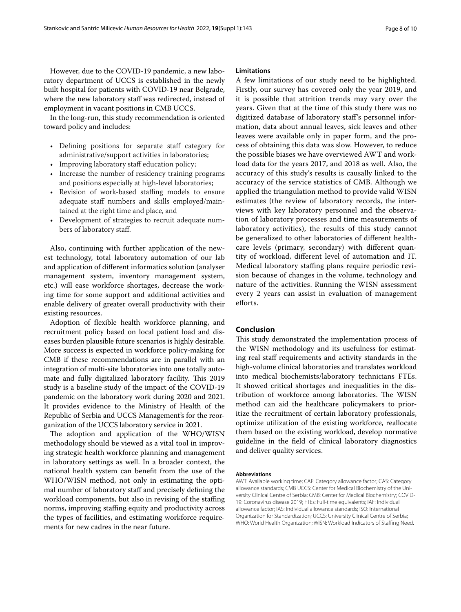However, due to the COVID-19 pandemic, a new laboratory department of UCCS is established in the newly built hospital for patients with COVID-19 near Belgrade, where the new laboratory staff was redirected, instead of employment in vacant positions in CMB UCCS.

In the long-run, this study recommendation is oriented toward policy and includes:

- Defining positions for separate staff category for administrative/support activities in laboratories;
- Improving laboratory staff education policy;
- Increase the number of residency training programs and positions especially at high-level laboratories;
- Revision of work-based staffing models to ensure adequate staff numbers and skills employed/maintained at the right time and place, and
- Development of strategies to recruit adequate numbers of laboratory staf.

Also, continuing with further application of the newest technology, total laboratory automation of our lab and application of diferent informatics solution (analyser management system, inventory management system, etc.) will ease workforce shortages, decrease the working time for some support and additional activities and enable delivery of greater overall productivity with their existing resources.

Adoption of fexible health workforce planning, and recruitment policy based on local patient load and diseases burden plausible future scenarios is highly desirable. More success is expected in workforce policy-making for CMB if these recommendations are in parallel with an integration of multi-site laboratories into one totally automate and fully digitalized laboratory facility. This 2019 study is a baseline study of the impact of the COVID-19 pandemic on the laboratory work during 2020 and 2021. It provides evidence to the Ministry of Health of the Republic of Serbia and UCCS Management's for the reorganization of the UCCS laboratory service in 2021.

The adoption and application of the WHO/WISN methodology should be viewed as a vital tool in improving strategic health workforce planning and management in laboratory settings as well. In a broader context, the national health system can beneft from the use of the WHO/WISN method, not only in estimating the optimal number of laboratory staff and precisely defining the workload components, but also in revising of the staffing norms, improving stafng equity and productivity across the types of facilities, and estimating workforce requirements for new cadres in the near future.

## **Limitations**

A few limitations of our study need to be highlighted. Firstly, our survey has covered only the year 2019, and it is possible that attrition trends may vary over the years. Given that at the time of this study there was no digitized database of laboratory staf's personnel information, data about annual leaves, sick leaves and other leaves were available only in paper form, and the process of obtaining this data was slow. However, to reduce the possible biases we have overviewed AWT and workload data for the years 2017, and 2018 as well. Also, the accuracy of this study's results is causally linked to the accuracy of the service statistics of CMB. Although we applied the triangulation method to provide valid WISN estimates (the review of laboratory records, the interviews with key laboratory personnel and the observation of laboratory processes and time measurements of laboratory activities), the results of this study cannot be generalized to other laboratories of diferent healthcare levels (primary, secondary) with diferent quantity of workload, diferent level of automation and IT. Medical laboratory staffing plans require periodic revision because of changes in the volume, technology and nature of the activities. Running the WISN assessment every 2 years can assist in evaluation of management efforts.

# **Conclusion**

This study demonstrated the implementation process of the WISN methodology and its usefulness for estimating real staff requirements and activity standards in the high-volume clinical laboratories and translates workload into medical biochemists/laboratory technicians FTEs. It showed critical shortages and inequalities in the distribution of workforce among laboratories. The WISN method can aid the healthcare policymakers to prioritize the recruitment of certain laboratory professionals, optimize utilization of the existing workforce, reallocate them based on the existing workload, develop normative guideline in the feld of clinical laboratory diagnostics and deliver quality services.

#### **Abbreviations**

AWT: Available working time; CAF: Category allowance factor; CAS: Category allowance standards; CMB UCCS: Center for Medical Biochemistry of the University Clinical Centre of Serbia; CMB: Center for Medical Biochemistry; COVID-19: Coronavirus disease 2019; FTEs: Full-time equivalents; IAF: Individual allowance factor; IAS: Individual allowance standards; ISO: International Organization for Standardization; UCCS: University Clinical Centre of Serbia; WHO: World Health Organization; WISN: Workload Indicators of Stafng Need.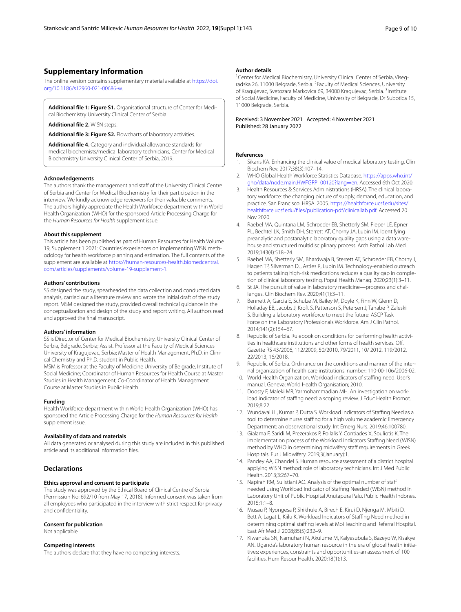# **Supplementary Information**

The online version contains supplementary material available at [https://doi.](https://doi.org/10.1186/s12960-021-00686-w) [org/10.1186/s12960-021-00686-w.](https://doi.org/10.1186/s12960-021-00686-w)

<span id="page-8-15"></span><span id="page-8-14"></span>**Additional fle 1: Figure S1.** Organisational structure of Center for Medical Biochemistry University Clinical Center of Serbia.

<span id="page-8-16"></span>**Additional fle 2.** WISN steps.

**Additional fle 3: Figure S2.** Flowcharts of laboratory activities.

**Additional fle 4.** Category and individual allowance standards for medical biochemists/medical laboratory technicians, Center for Medical Biochemistry University Clinical Center of Serbia, 2019.

#### **Acknowledgements**

The authors thank the management and staff of the University Clinical Centre of Serbia and Center for Medical Biochemistry for their participation in the interview. We kindly acknowledge reviewers for their valuable comments. The authors highly appreciate the Health Workforce department within World Health Organization (WHO) for the sponsored Article Processing Charge for the *Human Resources for Health* supplement issue.

#### **About this supplement**

This article has been published as part of Human Resources for Health Volume 19, Supplement 1 2021: Countries' experiences on implementing WISN methodology for health workforce planning and estimation. The full contents of the supplement are available at [https://human-resources-health.biomedcentral.](https://human-resources-health.biomedcentral.com/articles/supplements/volume-19-supplement-1) [com/articles/supplements/volume-19-supplement-1](https://human-resources-health.biomedcentral.com/articles/supplements/volume-19-supplement-1).

#### **Authors' contributions**

SS designed the study, spearheaded the data collection and conducted data analysis, carried out a literature review and wrote the initial draft of the study report. MSM designed the study, provided overall technical guidance in the conceptualization and design of the study and report writing. All authors read and approved the fnal manuscript.

#### **Authors' information**

SS is Director of Center for Medical Biochemistry, University Clinical Center of Serbia, Belgrade, Serbia; Assist. Professor at the Faculty of Medical Sciences University of Kragujevac, Serbia; Master of Health Management, Ph.D. in Clinical Chemistry and Ph.D. student in Public Health.

MSM is Professor at the Faculty of Medicine University of Belgrade, Institute of Social Medicine; Coordinator of Human Resources for Health Course at Master Studies in Health Management, Co-Coordinator of Health Management Course at Master Studies in Public Health.

#### **Funding**

Health Workforce department within World Health Organization (WHO) has sponsored the Article Processing Charge for the *Human Resources for Health*  supplement issue.

#### **Availability of data and materials**

All data generated or analysed during this study are included in this published article and its additional information fles.

#### **Declarations**

#### **Ethics approval and consent to participate**

The study was approved by the Ethical Board of Clinical Centre of Serbia (Permission No: 692/10 from May 17, 2018). Informed consent was taken from all employees who participated in the interview with strict respect for privacy and confdentiality.

## **Consent for publication**

Not applicable.

#### **Competing interests**

The authors declare that they have no competing interests.

#### **Author details**

<sup>1</sup> Center for Medical Biochemistry, University Clinical Center of Serbia, Visegradska 26, 11000 Belgrade, Serbia. <sup>2</sup> Faculty of Medical Sciences, University of Kragujevac, Svetozara Markovica 69, 34000 Kragujevac, Serbia. <sup>3</sup>Institute of Social Medicine, Faculty of Medicine, University of Belgrade, Dr Subotica 15, 11000 Belgrade, Serbia.

<span id="page-8-17"></span>Received: 3 November 2021 Accepted: 4 November 2021 Published: 28 January 2022

#### **References**

- <span id="page-8-0"></span>1. Sikaris KA. Enhancing the clinical value of medical laboratory testing. Clin Biochem Rev. 2017;38(3):107–14.
- <span id="page-8-1"></span>2. WHO Global Health Workforce Statistics Database. [https://apps.who.int/](https://apps.who.int/gho/data/node.main.HWFGRP_00120?lang=en) [gho/data/node.main.HWFGRP\\_00120?lang](https://apps.who.int/gho/data/node.main.HWFGRP_00120?lang=en)=en. Accessed 6th Oct 2020.
- <span id="page-8-2"></span>Health Resources & Services Administrations (HRSA). The clinical laboratory workforce: the changing picture of supply, demand, education, and practice. San Francisco: HRSA. 2005. [https://healthforce.ucsf.edu/sites/](https://healthforce.ucsf.edu/sites/healthforce.ucsf.edu/files/publication-pdf/clinicallab.pdf) [healthforce.ucsf.edu/fles/publication-pdf/clinicallab.pdf](https://healthforce.ucsf.edu/sites/healthforce.ucsf.edu/files/publication-pdf/clinicallab.pdf). Accessed 20 Nov 2020.
- <span id="page-8-3"></span>4. Raebel MA, Quintana LM, Schroeder EB, Shetterly SM, Pieper LE, Epner PL, Bechtel LK, Smith DH, Sterrett AT, Chorny JA, Lubin IM. Identifying preanalytic and postanalytic laboratory quality gaps using a data warehouse and structured multidisciplinary process. Arch Pathol Lab Med. 2019;143(4):518–24.
- <span id="page-8-4"></span>Raebel MA, Shetterly SM, Bhardwaja B, Sterrett AT, Schroeder EB, Chorny J, Hagen TP, Silverman DJ, Astles R, Lubin IM. Technology-enabled outreach to patients taking high-risk medications reduces a quality gap in completion of clinical laboratory testing. Popul Health Manag. 2020;23(1):3–11.
- <span id="page-8-5"></span>6. St JA. The pursuit of value in laboratory medicine—progress and challenges. Clin Biochem Rev. 2020;41(1):3–11.
- <span id="page-8-6"></span>7. Bennett A, Garcia E, Schulze M, Bailey M, Doyle K, Finn W, Glenn D, Holladay EB, Jacobs J, Kroft S, Patterson S, Petersen J, Tanabe P, Zaleski S. Building a laboratory workforce to meet the future: ASCP Task Force on the Laboratory Professionals Workforce. Am J Clin Pathol. 2014;141(2):154–67.
- <span id="page-8-7"></span>8. Republic of Serbia. Rulebook on conditions for performing health activities in healthcare institutions and other forms of health services. Off. Gazette RS 43/2006, 112/2009, 50/2010, 79/2011, 10/ 2012, 119/2012, 22/2013, 16/2018.
- <span id="page-8-8"></span>9. Republic of Serbia. Ordinance on the conditions and manner of the internal organization of health care institutions, number: 110-00-106/2006-02.
- <span id="page-8-9"></span>10. World Health Organization. Workload indicators of staffing need. User's manual. Geneva: World Health Organisation; 2010.
- <span id="page-8-10"></span>11. Doosty F, Maleki MR, Yarmohammadian MH. An investigation on workload indicator of staffing need: a scoping review. J Educ Health Promot. 2019;8:22.
- 12. Wundavalli L, Kumar P, Dutta S. Workload Indicators of Staffing Need as a tool to determine nurse staffing for a high volume academic Emergency Department: an observational study. Int Emerg Nurs. 2019;46:100780.
- <span id="page-8-11"></span>13. Gialama F, Saridi M, Prezerakos P, Pollalis Y, Contiades X, Souliotis K. The implementation process of the Workload Indicators Staffing Need (WISN) method by WHO in determining midwifery staff requirements in Greek Hospitals. Eur J Midwifery. 2019;3(January):1.
- <span id="page-8-12"></span>14. Pandey AA, Chandel S. Human resource assessment of a district hospital applying WISN method: role of laboratory technicians. Int J Med Public Health. 2013;3:267–70.
- 15. Napirah RM, Sulistiani AO. Analysis of the optimal number of staf needed using Workload Indicator of Stafng Needed (WISN) method in Laboratory Unit of Public Hospital Anutapura Palu. Public Health Indones. 2015;1:1–8.
- 16. Musau P, Nyongesa P, Shikhule A, Birech E, Kirui D, Njenga M, Mbiti D, Bett A, Lagat L, Kiilu K. Workload Indicators of Staffing Need method in determining optimal staffing levels at Moi Teaching and Referral Hospital. East Afr Med J. 2008;85(5):232–9.
- <span id="page-8-13"></span>17. Kiwanuka SN, Namuhani N, Akulume M, Kalyesubula S, Bazeyo W, Kisakye AN. Uganda's laboratory human resource in the era of global health initiatives: experiences, constraints and opportunities-an assessment of 100 facilities. Hum Resour Health. 2020;18(1):13.